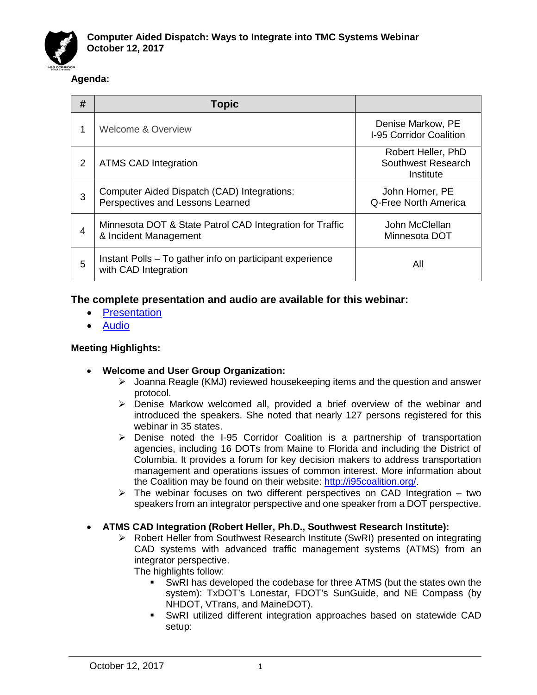

## **Agenda:**

| #              | <b>Topic</b>                                                                      |                                                       |
|----------------|-----------------------------------------------------------------------------------|-------------------------------------------------------|
|                | <b>Welcome &amp; Overview</b>                                                     | Denise Markow, PE<br>I-95 Corridor Coalition          |
| 2              | <b>ATMS CAD Integration</b>                                                       | Robert Heller, PhD<br>Southwest Research<br>Institute |
| 3              | Computer Aided Dispatch (CAD) Integrations:<br>Perspectives and Lessons Learned   | John Horner, PE<br>Q-Free North America               |
| $\overline{4}$ | Minnesota DOT & State Patrol CAD Integration for Traffic<br>& Incident Management | John McClellan<br>Minnesota DOT                       |
| 5              | Instant Polls – To gather info on participant experience<br>with CAD Integration  | All                                                   |

# **The complete presentation and audio are available for this webinar:**

- [Presentation](http://i95coalition.org/wp-content/uploads/2017/09/I-95CC-CAD_Integration_total_FINAL-combined.pdf)
- [Audio](http://i95coalition.org/wp-content/uploads/2017/09/I95CC-CAD_Integration_Webinar-Recording-12oct17.mp3)

## **Meeting Highlights:**

- **Welcome and User Group Organization:**
	- $\triangleright$  Joanna Reagle (KMJ) reviewed housekeeping items and the question and answer protocol.
	- Denise Markow welcomed all, provided a brief overview of the webinar and introduced the speakers. She noted that nearly 127 persons registered for this webinar in 35 states.
	- $\triangleright$  Denise noted the I-95 Corridor Coalition is a partnership of transportation agencies, including 16 DOTs from Maine to Florida and including the District of Columbia. It provides a forum for key decision makers to address transportation management and operations issues of common interest. More information about the Coalition may be found on their website: [http://i95coalition.org/.](http://i95coalition.org/)
	- $\triangleright$  The webinar focuses on two different perspectives on CAD Integration two speakers from an integrator perspective and one speaker from a DOT perspective.

## • **ATMS CAD Integration (Robert Heller, Ph.D., Southwest Research Institute):**

 Robert Heller from Southwest Research Institute (SwRI) presented on integrating CAD systems with advanced traffic management systems (ATMS) from an integrator perspective.

The highlights follow:

- SwRI has developed the codebase for three ATMS (but the states own the system): TxDOT's Lonestar, FDOT's SunGuide, and NE Compass (by NHDOT, VTrans, and MaineDOT).
- SwRI utilized different integration approaches based on statewide CAD setup: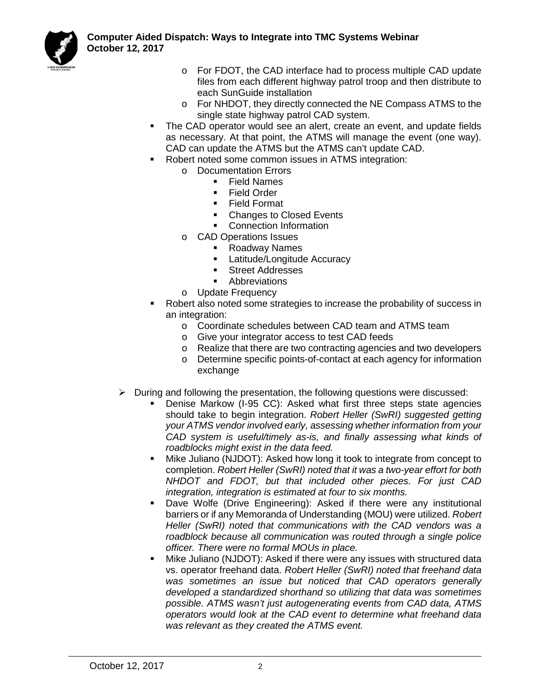

- o For FDOT, the CAD interface had to process multiple CAD update files from each different highway patrol troop and then distribute to each SunGuide installation
- o For NHDOT, they directly connected the NE Compass ATMS to the single state highway patrol CAD system.
- The CAD operator would see an alert, create an event, and update fields as necessary. At that point, the ATMS will manage the event (one way). CAD can update the ATMS but the ATMS can't update CAD.
- Robert noted some common issues in ATMS integration:
	- o Documentation Errors<br>■ Field Names
		- Field Names
		- **Field Order**
		- **Field Format**
		- Changes to Closed Events
		- **•** Connection Information
		- o CAD Operations Issues
			- Roadway Names
				- **Latitude/Longitude Accuracy**
				- **Street Addresses**
				- Abbreviations
		- o Update Frequency
- Robert also noted some strategies to increase the probability of success in an integration:
	- o Coordinate schedules between CAD team and ATMS team
	- o Give your integrator access to test CAD feeds
	- o Realize that there are two contracting agencies and two developers
	- o Determine specific points-of-contact at each agency for information exchange
- $\triangleright$  During and following the presentation, the following questions were discussed:
	- Denise Markow (I-95 CC): Asked what first three steps state agencies should take to begin integration. *Robert Heller (SwRI) suggested getting your ATMS vendor involved early, assessing whether information from your CAD system is useful/timely as-is, and finally assessing what kinds of roadblocks might exist in the data feed.*
	- Mike Juliano (NJDOT): Asked how long it took to integrate from concept to completion. *Robert Heller (SwRI) noted that it was a two-year effort for both NHDOT and FDOT, but that included other pieces. For just CAD integration, integration is estimated at four to six months.*
	- Dave Wolfe (Drive Engineering): Asked if there were any institutional barriers or if any Memoranda of Understanding (MOU) were utilized. *Robert Heller (SwRI) noted that communications with the CAD vendors was a roadblock because all communication was routed through a single police officer. There were no formal MOUs in place.*
	- Mike Juliano (NJDOT): Asked if there were any issues with structured data vs. operator freehand data. *Robert Heller (SwRI) noted that freehand data was sometimes an issue but noticed that CAD operators generally developed a standardized shorthand so utilizing that data was sometimes possible. ATMS wasn't just autogenerating events from CAD data, ATMS operators would look at the CAD event to determine what freehand data was relevant as they created the ATMS event.*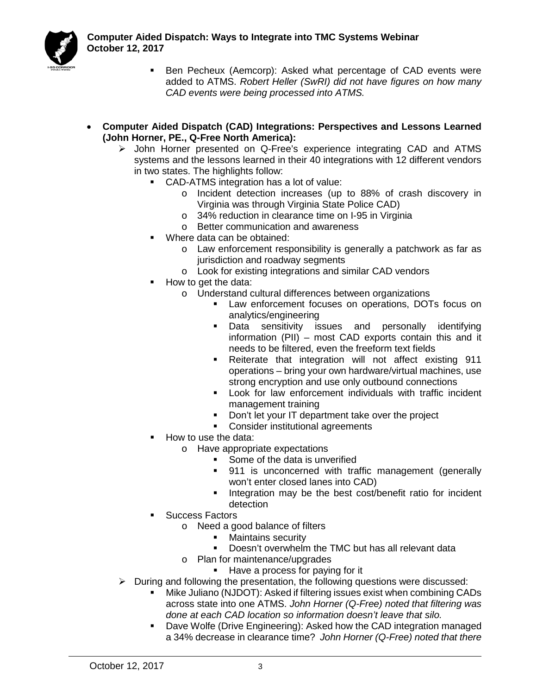

- Ben Pecheux (Aemcorp): Asked what percentage of CAD events were added to ATMS. *Robert Heller (SwRI) did not have figures on how many CAD events were being processed into ATMS.*
- **Computer Aided Dispatch (CAD) Integrations: Perspectives and Lessons Learned (John Horner, PE., Q-Free North America):** 
	- John Horner presented on Q-Free's experience integrating CAD and ATMS systems and the lessons learned in their 40 integrations with 12 different vendors in two states. The highlights follow:
		- CAD-ATMS integration has a lot of value:
			- o Incident detection increases (up to 88% of crash discovery in Virginia was through Virginia State Police CAD)
			- o 34% reduction in clearance time on I-95 in Virginia
			- o Better communication and awareness
		- **Where data can be obtained:** 
			- o Law enforcement responsibility is generally a patchwork as far as jurisdiction and roadway segments
			- o Look for existing integrations and similar CAD vendors
		- How to get the data:
			- o Understand cultural differences between organizations
				- Law enforcement focuses on operations, DOTs focus on analytics/engineering
				- **Data sensitivity issues and personally identifying** information (PII) – most CAD exports contain this and it needs to be filtered, even the freeform text fields
				- **-** Reiterate that integration will not affect existing 911 operations – bring your own hardware/virtual machines, use strong encryption and use only outbound connections
				- **Look for law enforcement individuals with traffic incident** management training
				- Don't let your IT department take over the project
				- **Consider institutional agreements**
		- How to use the data:
			- o Have appropriate expectations
				- Some of the data is unverified
				- 911 is unconcerned with traffic management (generally won't enter closed lanes into CAD)
				- **Integration may be the best cost/benefit ratio for incident** detection
		- **Success Factors** 
			- o Need a good balance of filters
				- **Maintains security**
				- **Doesn't overwhelm the TMC but has all relevant data**
			- o Plan for maintenance/upgrades
				- Have a process for paying for it
	- $\triangleright$  During and following the presentation, the following questions were discussed:
		- Mike Juliano (NJDOT): Asked if filtering issues exist when combining CADs across state into one ATMS. *John Horner (Q-Free) noted that filtering was done at each CAD location so information doesn't leave that silo.*
		- Dave Wolfe (Drive Engineering): Asked how the CAD integration managed a 34% decrease in clearance time? *John Horner (Q-Free) noted that there*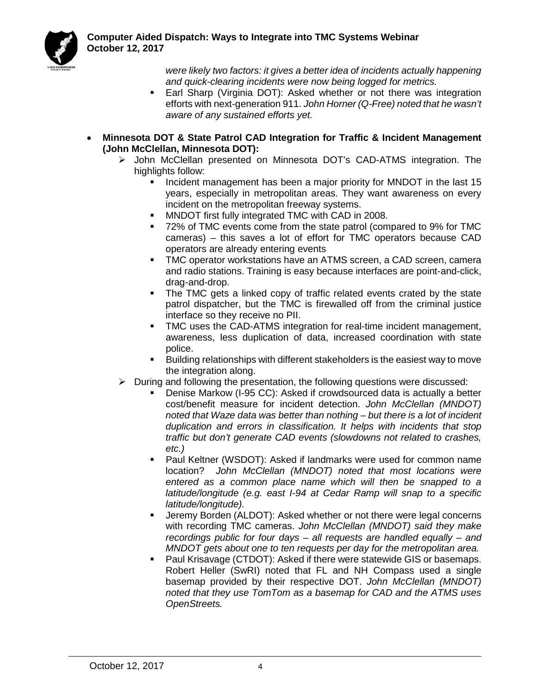

*were likely two factors: it gives a better idea of incidents actually happening and quick-clearing incidents were now being logged for metrics.*

- Earl Sharp (Virginia DOT): Asked whether or not there was integration efforts with next-generation 911. *John Horner (Q-Free) noted that he wasn't aware of any sustained efforts yet.*
- **Minnesota DOT & State Patrol CAD Integration for Traffic & Incident Management (John McClellan, Minnesota DOT):** 
	- John McClellan presented on Minnesota DOT's CAD-ATMS integration. The highlights follow:
		- Incident management has been a major priority for MNDOT in the last 15 years, especially in metropolitan areas. They want awareness on every incident on the metropolitan freeway systems.
		- MNDOT first fully integrated TMC with CAD in 2008.
		- 72% of TMC events come from the state patrol (compared to 9% for TMC cameras) – this saves a lot of effort for TMC operators because CAD operators are already entering events
		- TMC operator workstations have an ATMS screen, a CAD screen, camera and radio stations. Training is easy because interfaces are point-and-click, drag-and-drop.
		- The TMC gets a linked copy of traffic related events crated by the state patrol dispatcher, but the TMC is firewalled off from the criminal justice interface so they receive no PII.
		- TMC uses the CAD-ATMS integration for real-time incident management, awareness, less duplication of data, increased coordination with state police.
		- Building relationships with different stakeholders is the easiest way to move the integration along.
	- $\triangleright$  During and following the presentation, the following questions were discussed:
		- Denise Markow (I-95 CC): Asked if crowdsourced data is actually a better cost/benefit measure for incident detection. *John McClellan (MNDOT) noted that Waze data was better than nothing – but there is a lot of incident duplication and errors in classification. It helps with incidents that stop traffic but don't generate CAD events (slowdowns not related to crashes, etc.)*
		- Paul Keltner (WSDOT): Asked if landmarks were used for common name location? *John McClellan (MNDOT) noted that most locations were entered as a common place name which will then be snapped to a latitude/longitude (e.g. east I-94 at Cedar Ramp will snap to a specific latitude/longitude).*
		- Jeremy Borden (ALDOT): Asked whether or not there were legal concerns with recording TMC cameras. *John McClellan (MNDOT) said they make recordings public for four days – all requests are handled equally – and MNDOT gets about one to ten requests per day for the metropolitan area.*
		- Paul Krisavage (CTDOT): Asked if there were statewide GIS or basemaps. Robert Heller (SwRI) noted that FL and NH Compass used a single basemap provided by their respective DOT. *John McClellan (MNDOT) noted that they use TomTom as a basemap for CAD and the ATMS uses OpenStreets.*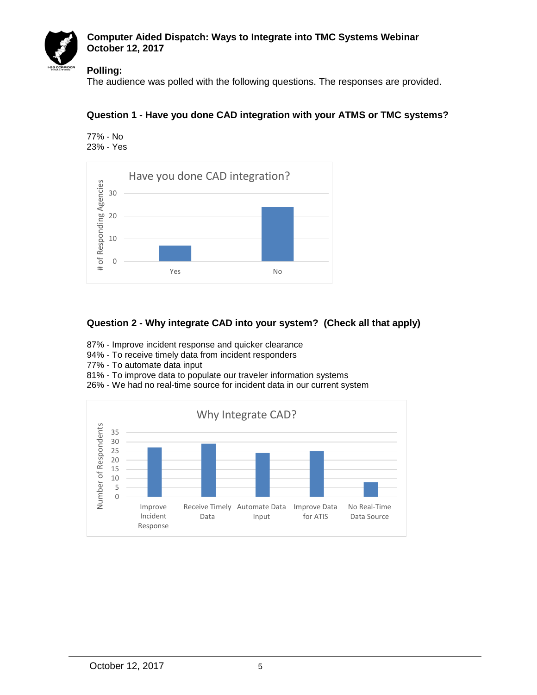

#### **Computer Aided Dispatch: Ways to Integrate into TMC Systems Webinar October 12, 2017**

#### **Polling:**

The audience was polled with the following questions. The responses are provided.

#### **Question 1 - Have you done CAD integration with your ATMS or TMC systems?**

77% - No 23% - Yes



## **Question 2 - Why integrate CAD into your system? (Check all that apply)**

- 87% Improve incident response and quicker clearance
- 94% To receive timely data from incident responders
- 77% To automate data input
- 81% To improve data to populate our traveler information systems
- 26% We had no real-time source for incident data in our current system

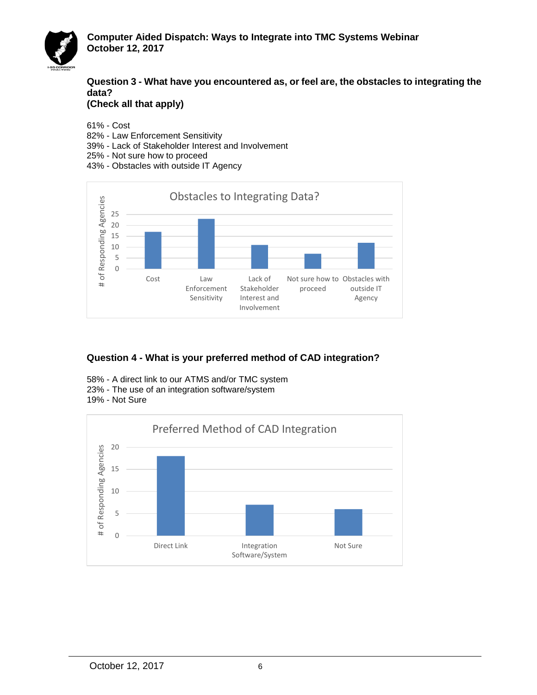

**Question 3 - What have you encountered as, or feel are, the obstacles to integrating the data?** 

**(Check all that apply)**

61% - Cost

- 82% Law Enforcement Sensitivity
- 39% Lack of Stakeholder Interest and Involvement
- 25% Not sure how to proceed
- 43% Obstacles with outside IT Agency



# **Question 4 - What is your preferred method of CAD integration?**

- 58% A direct link to our ATMS and/or TMC system 23% - The use of an integration software/system
- 19% Not Sure

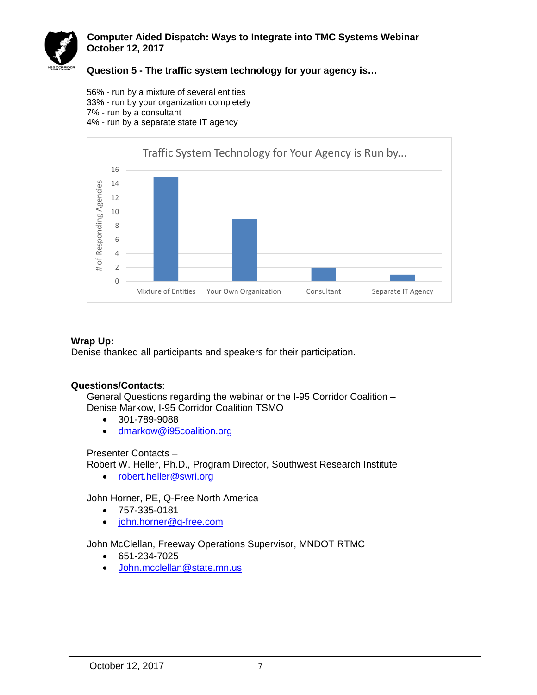

#### **Computer Aided Dispatch: Ways to Integrate into TMC Systems Webinar October 12, 2017**

**Question 5 - The traffic system technology for your agency is…**

56% - run by a mixture of several entities 33% - run by your organization completely 7% - run by a consultant 4% - run by a separate state IT agency



#### **Wrap Up:**

Denise thanked all participants and speakers for their participation.

## **Questions/Contacts**:

General Questions regarding the webinar or the I-95 Corridor Coalition – Denise Markow, I-95 Corridor Coalition TSMO

- 301-789-9088
- [dmarkow@i95coalition.org](mailto:dmarkow@i95coalition.org)

Presenter Contacts –

Robert W. Heller, Ph.D., Program Director, Southwest Research Institute

• robert.heller@swri.org

John Horner, PE, Q-Free North America

- 757-335-0181
- [john.horner@q-free.com](mailto:john.horner@q-free.com)

John McClellan, Freeway Operations Supervisor, MNDOT RTMC

- 651-234-7025
- [John.mcclellan@state.mn.us](mailto:John.mcclellan@state.mn.us)